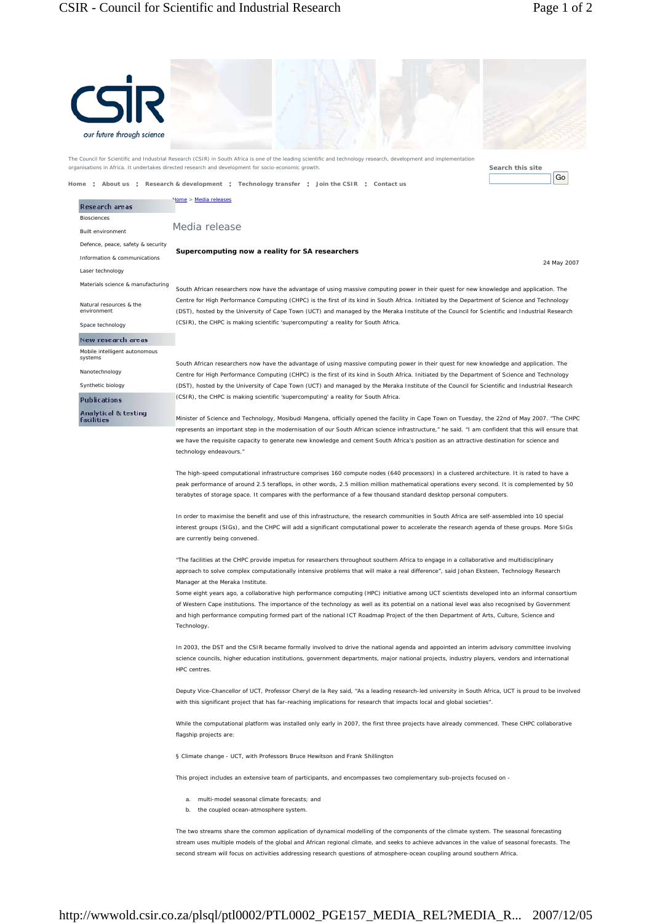## CSIR - Council for Scientific and Industrial Research Page 1 of 2

| S                                             |                                                                                                                                                                                                                                                                                                                                                                                    |
|-----------------------------------------------|------------------------------------------------------------------------------------------------------------------------------------------------------------------------------------------------------------------------------------------------------------------------------------------------------------------------------------------------------------------------------------|
|                                               |                                                                                                                                                                                                                                                                                                                                                                                    |
| our future through science                    |                                                                                                                                                                                                                                                                                                                                                                                    |
|                                               | The Council for Scientific and Industrial Research (CSIR) in South Africa is one of the leading scientific and technology research, development and implementation<br>organisations in Africa. It undertakes directed research and development for socio-economic growth.<br>Search this site                                                                                      |
| Home                                          | Go<br>: About us : Research & development : Technology transfer : Join the CSIR : Contact us                                                                                                                                                                                                                                                                                       |
| Research areas<br><b>Biosciences</b>          | Iome > Media releases                                                                                                                                                                                                                                                                                                                                                              |
| <b>Built environment</b>                      | Media release                                                                                                                                                                                                                                                                                                                                                                      |
| Defence, peace, safety & security             | Supercomputing now a reality for SA researchers                                                                                                                                                                                                                                                                                                                                    |
| Information & communications                  | 24 May 2007                                                                                                                                                                                                                                                                                                                                                                        |
| Laser technology                              |                                                                                                                                                                                                                                                                                                                                                                                    |
| Materials science & manufacturing             | South African researchers now have the advantage of using massive computing power in their quest for new knowledge and application. The                                                                                                                                                                                                                                            |
| Natural resources & the<br>environment        | Centre for High Performance Computing (CHPC) is the first of its kind in South Africa. Initiated by the Department of Science and Technology<br>(DST), hosted by the University of Cape Town (UCT) and managed by the Meraka Institute of the Council for Scientific and Industrial Research<br>(CSIR), the CHPC is making scientific 'supercomputing' a reality for South Africa. |
| Space technology<br>New research areas        |                                                                                                                                                                                                                                                                                                                                                                                    |
| Mobile intelligent autonomous                 |                                                                                                                                                                                                                                                                                                                                                                                    |
| systems                                       | South African researchers now have the advantage of using massive computing power in their quest for new knowledge and application. The                                                                                                                                                                                                                                            |
| Nanotechnology<br>Synthetic biology           | Centre for High Performance Computing (CHPC) is the first of its kind in South Africa. Initiated by the Department of Science and Technology<br>(DST), hosted by the University of Cape Town (UCT) and managed by the Meraka Institute of the Council for Scientific and Industrial Research                                                                                       |
| <b>Publications</b>                           | (CSIR), the CHPC is making scientific 'supercomputing' a reality for South Africa.                                                                                                                                                                                                                                                                                                 |
| <b>Analytical &amp; testing</b><br>facilities | Minister of Science and Technology, Mosibudi Mangena, officially opened the facility in Cape Town on Tuesday, the 22nd of May 2007. "The CHPC                                                                                                                                                                                                                                      |
|                                               | represents an important step in the modernisation of our South African science infrastructure," he said. "I am confident that this will ensure that                                                                                                                                                                                                                                |
|                                               | we have the requisite capacity to generate new knowledge and cement South Africa's position as an attractive destination for science and<br>technology endeavours."                                                                                                                                                                                                                |
|                                               | The high-speed computational infrastructure comprises 160 compute nodes (640 processors) in a clustered architecture. It is rated to have a                                                                                                                                                                                                                                        |
|                                               | peak performance of around 2.5 teraflops, in other words, 2.5 million million mathematical operations every second. It is complemented by 50                                                                                                                                                                                                                                       |
|                                               | terabytes of storage space. It compares with the performance of a few thousand standard desktop personal computers.                                                                                                                                                                                                                                                                |
|                                               | In order to maximise the benefit and use of this infrastructure, the research communities in South Africa are self-assembled into 10 special                                                                                                                                                                                                                                       |
|                                               | interest groups (SIGs), and the CHPC will add a significant computational power to accelerate the research agenda of these groups. More SIGs<br>are currently being convened.                                                                                                                                                                                                      |
|                                               | "The facilities at the CHPC provide impetus for researchers throughout southern Africa to engage in a collaborative and multidisciplinary                                                                                                                                                                                                                                          |
|                                               | approach to solve complex computationally intensive problems that will make a real difference", said Johan Eksteen, Technology Research<br>Manager at the Meraka Institute.                                                                                                                                                                                                        |
|                                               | Some eight years ago, a collaborative high performance computing (HPC) initiative among UCT scientists developed into an informal consortium                                                                                                                                                                                                                                       |
|                                               | of Western Cape institutions. The importance of the technology as well as its potential on a national level was also recognised by Government                                                                                                                                                                                                                                      |
|                                               | and high performance computing formed part of the national ICT Roadmap Project of the then Department of Arts, Culture, Science and<br>Technology.                                                                                                                                                                                                                                 |
|                                               | In 2003, the DST and the CSIR became formally involved to drive the national agenda and appointed an interim advisory committee involving                                                                                                                                                                                                                                          |
|                                               | science councils, higher education institutions, government departments, major national projects, industry players, vendors and international<br>HPC centres.                                                                                                                                                                                                                      |
|                                               | Deputy Vice-Chancellor of UCT, Professor Cheryl de la Rey said, "As a leading research-led university in South Africa, UCT is proud to be involved<br>with this significant project that has far-reaching implications for research that impacts local and global societies".                                                                                                      |
|                                               | While the computational platform was installed only early in 2007, the first three projects have already commenced. These CHPC collaborative<br>flagship projects are:                                                                                                                                                                                                             |
|                                               | § Climate change - UCT, with Professors Bruce Hewitson and Frank Shillington                                                                                                                                                                                                                                                                                                       |
|                                               | This project includes an extensive team of participants, and encompasses two complementary sub-projects focused on -                                                                                                                                                                                                                                                               |
|                                               | multi-model seasonal climate forecasts; and<br>a.<br>the coupled ocean-atmosphere system.<br>b.                                                                                                                                                                                                                                                                                    |
|                                               | The two streams share the common application of dynamical modelling of the components of the climate system. The seasonal forecasting                                                                                                                                                                                                                                              |
|                                               | stream uses multiple models of the global and African regional climate, and seeks to achieve advances in the value of seasonal forecasts. The<br>second stream will focus on activities addressing research questions of atmosphere-ocean coupling around southern Africa.                                                                                                         |